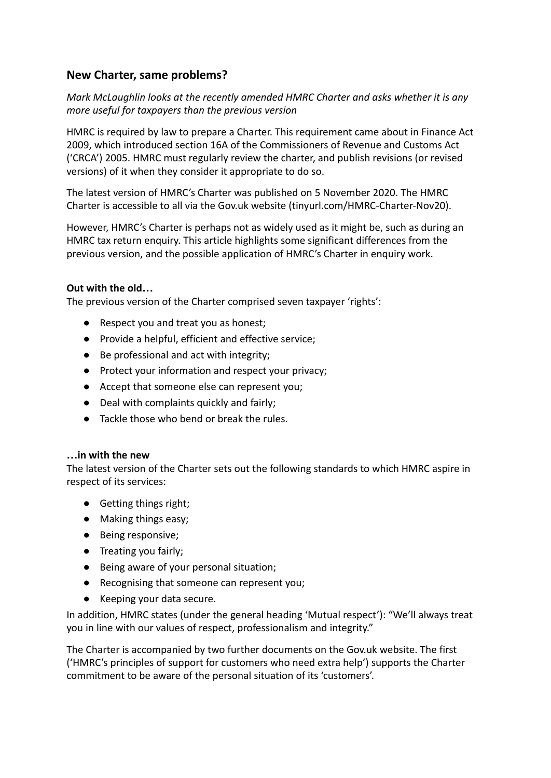# **New Charter, same problems?**

*Mark McLaughlin looks at the recently amended HMRC Charter and asks whether it is any more useful for taxpayers than the previous version*

HMRC is required by law to prepare a Charter. This requirement came about in Finance Act 2009, which introduced section 16A of the Commissioners of Revenue and Customs Act ('CRCA') 2005. HMRC must regularly review the charter, and publish revisions (or revised versions) of it when they consider it appropriate to do so.

The latest version of HMRC's Charter was published on 5 November 2020. The HMRC Charter is accessible to all via the Gov.uk website (tinyurl.com/HMRC-Charter-Nov20).

However, HMRC's Charter is perhaps not as widely used as it might be, such as during an HMRC tax return enquiry. This article highlights some significant differences from the previous version, and the possible application of HMRC's Charter in enquiry work.

## **Out with the old…**

The previous version of the Charter comprised seven taxpayer 'rights':

- Respect you and treat you as honest;
- Provide a helpful, efficient and effective service;
- Be professional and act with integrity;
- Protect your information and respect your privacy;
- Accept that someone else can represent you;
- Deal with complaints quickly and fairly;
- Tackle those who bend or break the rules.

### **…in with the new**

The latest version of the Charter sets out the following standards to which HMRC aspire in respect of its services:

- Getting things right;
- Making things easy;
- Being responsive;
- Treating you fairly;
- Being aware of your personal situation;
- Recognising that someone can represent you;
- Keeping your data secure.

In addition, HMRC states (under the general heading 'Mutual respect'): "We'll always treat you in line with our values of respect, professionalism and integrity."

The Charter is accompanied by two further documents on the Gov.uk website. The first ('HMRC's principles of support for customers who need extra help') supports the Charter commitment to be aware of the personal situation of its 'customers'.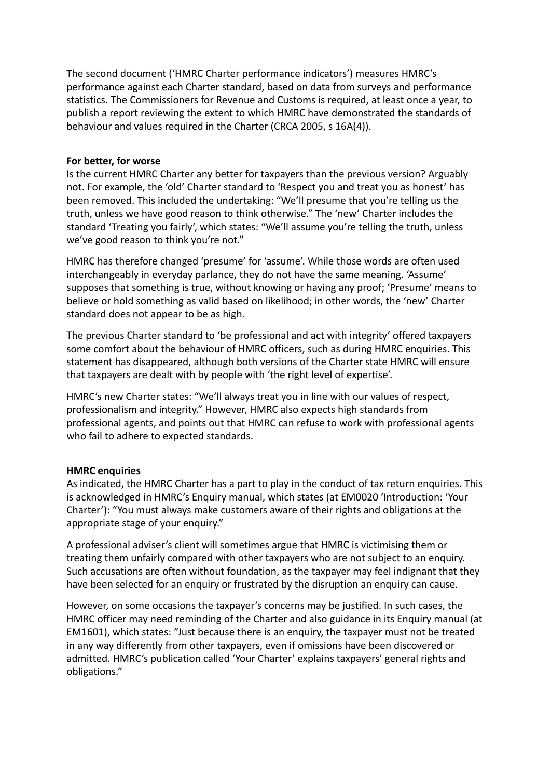The second document ('HMRC Charter performance indicators') measures HMRC's performance against each Charter standard, based on data from surveys and performance statistics. The Commissioners for Revenue and Customs is required, at least once a year, to publish a report reviewing the extent to which HMRC have demonstrated the standards of behaviour and values required in the Charter (CRCA 2005, s 16A(4)).

#### **For better, for worse**

Is the current HMRC Charter any better for taxpayers than the previous version? Arguably not. For example, the 'old' Charter standard to 'Respect you and treat you as honest' has been removed. This included the undertaking: "We'll presume that you're telling us the truth, unless we have good reason to think otherwise." The 'new' Charter includes the standard 'Treating you fairly', which states: "We'll assume you're telling the truth, unless we've good reason to think you're not."

HMRC has therefore changed 'presume' for 'assume'. While those words are often used interchangeably in everyday parlance, they do not have the same meaning. 'Assume' supposes that something is true, without knowing or having any proof; 'Presume' means to believe or hold something as valid based on likelihood; in other words, the 'new' Charter standard does not appear to be as high.

The previous Charter standard to 'be professional and act with integrity' offered taxpayers some comfort about the behaviour of HMRC officers, such as during HMRC enquiries. This statement has disappeared, although both versions of the Charter state HMRC will ensure that taxpayers are dealt with by people with 'the right level of expertise'.

HMRC's new Charter states: "We'll always treat you in line with our values of respect, professionalism and integrity." However, HMRC also expects high standards from professional agents, and points out that HMRC can refuse to work with professional agents who fail to adhere to expected standards.

#### **HMRC enquiries**

As indicated, the HMRC Charter has a part to play in the conduct of tax return enquiries. This is acknowledged in HMRC's Enquiry manual, which states (at EM0020 'Introduction: 'Your Charter'): "You must always make customers aware of their rights and obligations at the appropriate stage of your enquiry."

A professional adviser's client will sometimes argue that HMRC is victimising them or treating them unfairly compared with other taxpayers who are not subject to an enquiry. Such accusations are often without foundation, as the taxpayer may feel indignant that they have been selected for an enquiry or frustrated by the disruption an enquiry can cause.

However, on some occasions the taxpayer's concerns may be justified. In such cases, the HMRC officer may need reminding of the Charter and also guidance in its Enquiry manual (at EM1601), which states: "Just because there is an enquiry, the taxpayer must not be treated in any way differently from other taxpayers, even if omissions have been discovered or admitted. HMRC's publication called 'Your Charter' explains taxpayers' general rights and obligations."